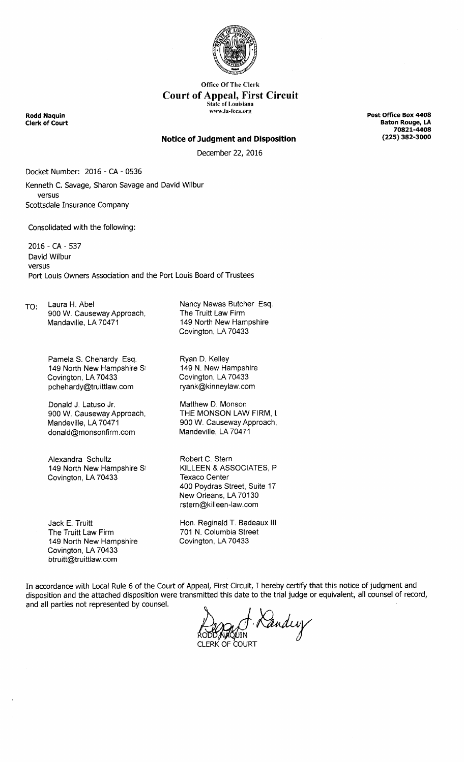

**Office Of The Clerk** Court of Appeal, First Circuit State of Louisiana www.la-fcca.org

Rodd Naquin **Clerk of Court**  Post Office Box 4408 Baton Rouge, LA 70821-4408 225) 382-3000

#### **Notice of Judgment and Disposition**

December 22, 2016

Docket Number: 2016 - CA - 0536 Kenneth C. Savage, Sharon Savage and David Wilbur versus Scottsdale Insurance Company

Consolidated with the following:

2016 - CA - 537 David Wilbur versus Port Louis Owners Association and the Port Louis Board of Trustees

TO: Laura H. Abel 900 W. Causeway Approach, Mandaville, LA 70471

> Pamela S. Chehardy Esq. 149 North New Hampshire S1 Covington, LA 70433 pchehardy@truittlaw.com

> Donald J. Latuso Jr. 900 W. Causeway Approach, Mandeville, LA 70471 donald@monsonfirm.com

> Alexandra Schultz 149 North New Hampshire St Covington, LA 70433

Jack E. Truitt The Truitt Law Firm 149 North New Hampshire Covington, LA 70433 btruitt@truittlaw.com

Nancy Nawas Butcher Esq. The Truitt Law Firm 149 North New Hampshire Covington, LA 70433

Ryan D. Kelley 149 N. New Hampshire Covington, LA 70433 ryank@kinneylaw.com

Matthew D. Monson THE MONSON LAW FIRM, L 900 W. Causeway Approach, Mandeville, LA 70471

Robert C. Stern KILLEEN & ASSOCIATES, P Texaco Center 400 Poydras Street, Suite 17 New Orleans, LA 70130 rstern@killeen-law.com

Hon. Reginald T. Badeaux Ill 701 N. Columbia Street Covington, LA 70433

In accordance with Local Rule 6 of the Court of Appeal, First Circuit, I hereby certify that this notice of judgment and disposition and the attached disposition were transmitted this date to the trial judge or equivalent, all counsel of record, and all parties not represented by counsel.

Kandey CLERK OF COURT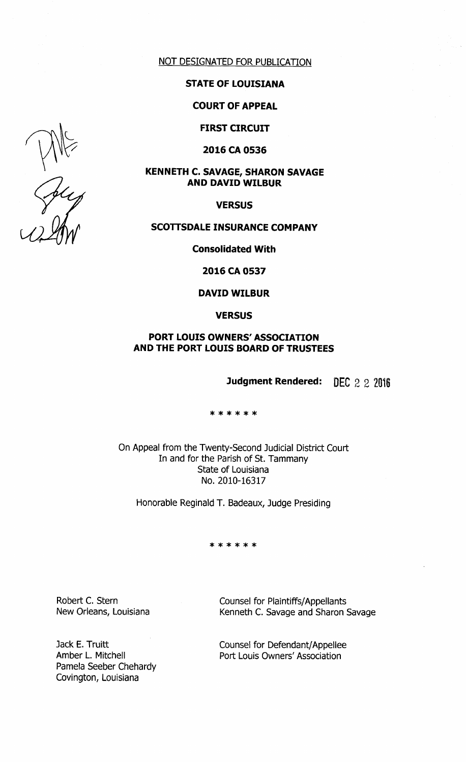

## STATE OF LOUISIANA

COURT OF APPEAL

FIRST CIRCUIT

2016 CA 0536

# KENNETH C. SAVAGE, SHARON SAVAGE AND DAVID WILBUR

**VERSUS** 

## SCOTTSDALE INSURANCE COMPANY

Consolidated With

2016 CA 0537

### DAVID WILBUR

**VERSUS** 

# PORT LOUIS OWNERS' ASSOCIATION AND THE PORT LOUIS BOARD OF TRUSTEES

Judgment Rendered: DEC 2 2 2016

\* \* \* \* \* \*

On Appeal from the Twenty-Second Judicial District Court In and for the Parish of St. Tammany State of Louisiana No. 2010-16317

Honorable Reginald T. Badeaux, Judge Presiding

\* \* \* \* \* \*

Robert C. Stern New Orleans, Louisiana

Pamela Seeber Chehardy Covington, Louisiana

Jack E. Truitt Amber L. Mitchell

Counsel for Plaintiffs/ Appellants Kenneth C. Savage and Sharon Savage

Counsel for Defendant/ Appellee Port Louis Owners' Association

All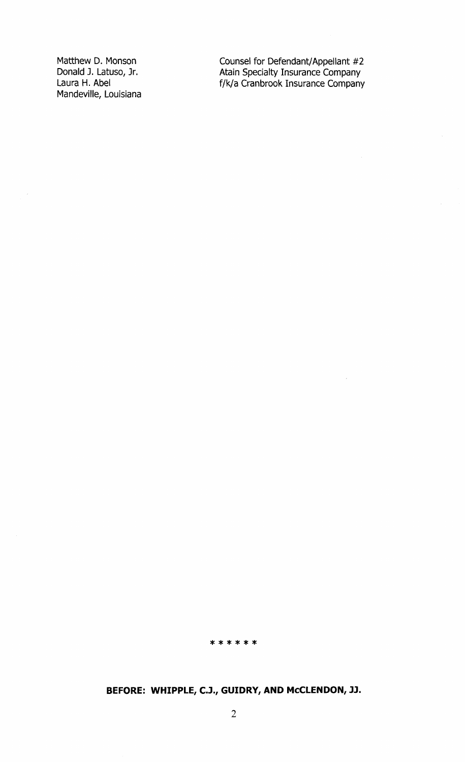Matthew D. Monson Donald J. Latuso, Jr. Laura H. Abel Mandeville, Louisiana Counsel for Defendant/Appellant #2 Atain Specialty Insurance Company f/k/a Cranbrook Insurance Company

 $\bar{\bar{z}}$ 

\* \* \* \* \* \*

# BEFORE: WHIPPLE, C.J., GUIDRY, AND MCCLENDON, JJ.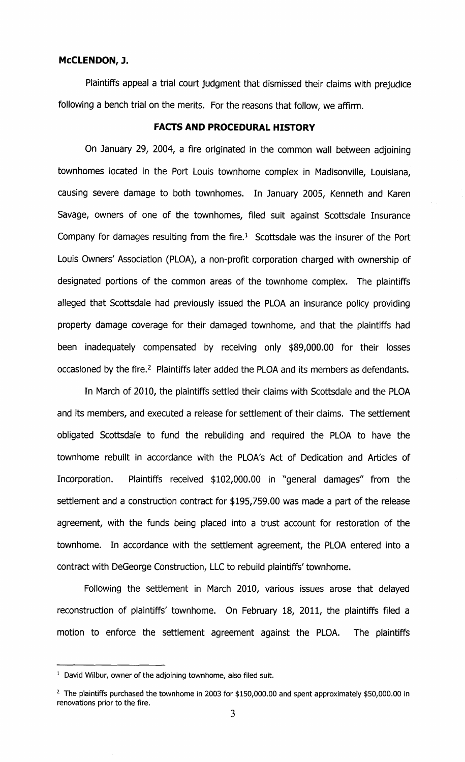### McCLENDON, J.

Plaintiffs appeal a trial court judgment that dismissed their claims with prejudice following a bench trial on the merits. For the reasons that follow, we affirm.

# FACTS AND PROCEDURAL HISTORY

On January 29, 2004, a fire originated in the common wall between adjoining townhomes located in the Port Louis townhome complex in Madisonville, Louisiana, causing severe damage to both townhomes. In January 2005, Kenneth and Karen Savage, owners of one of the townhomes, filed suit against Scottsdale Insurance Company for damages resulting from the fire. $1$  Scottsdale was the insurer of the Port Louis Owners' Association ( PLOA), a non-profit corporation charged with ownership of designated portions of the common areas of the townhome complex. The plaintiffs alleged that Scottsdale had previously issued the PLOA an insurance policy providing property damage coverage for their damaged townhome, and that the plaintiffs had been inadequately compensated by receiving only \$89,000.00 for their losses occasioned by the fire.<sup>2</sup> Plaintiffs later added the PLOA and its members as defendants.

In March of 2010, the plaintiffs settled their claims with Scottsdale and the PLOA and its members, and executed a release for settlement of their claims. The settlement obligated Scottsdale to fund the rebuilding and required the PLOA to have the townhome rebuilt in accordance with the PLOA's Act of Dedication and Articles of Incorporation. Plaintiffs received \$102,000.00 in "general damages" from the settlement and a construction contract for \$195,759.00 was made a part of the release agreement, with the funds being placed into a trust account for restoration of the townhome. In accordance with the settlement agreement, the PLOA entered into a contract with DeGeorge Construction, LLC to rebuild plaintiffs' townhome.

Following the settlement in March 2010, various issues arose that delayed reconstruction of plaintiffs' townhome. On February 18, 2011, the plaintiffs filed a motion to enforce the settlement agreement against the PLOA. The plaintiffs

<sup>&</sup>lt;sup>1</sup> David Wilbur, owner of the adjoining townhome, also filed suit.

 $2$  The plaintiffs purchased the townhome in 2003 for \$150,000.00 and spent approximately \$50,000.00 in renovations prior to the fire.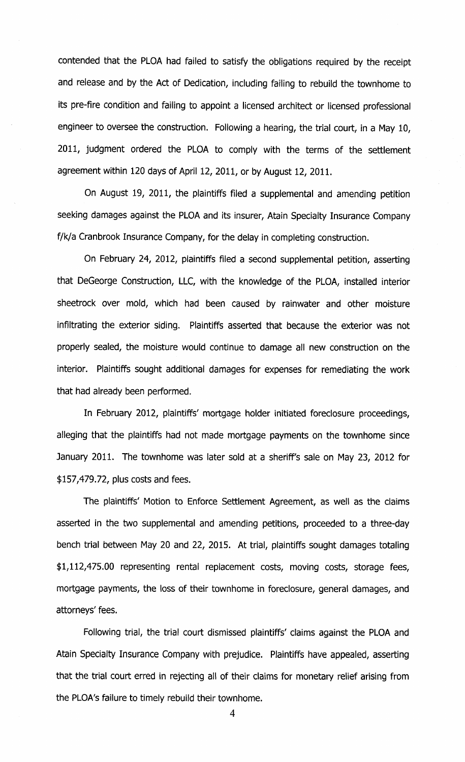contended that the PLOA had failed to satisfy the obligations required by the receipt and release and by the Act of Dedication, including failing to rebuild the townhome to its pre-fire condition and failing to appoint a licensed architect or licensed professional engineer to oversee the construction. Following a hearing, the trial court, in a May 10, 2011, judgment ordered the PLOA to comply with the terms of the settlement agreement within 120 days of April 12, 2011, or by August 12, 2011.

On August 19, 2011, the plaintiffs filed a supplemental and amending petition seeking damages against the PLOA and its insurer, Atain Specialty Insurance Company f/k/a Cranbrook Insurance Company, for the delay in completing construction.

On February 24, 2012, plaintiffs filed a second supplemental petition, asserting that DeGeorge Construction, LLC, with the knowledge of the PLOA, installed interior sheetrock over mold, which had been caused by rainwater and other moisture infiltrating the exterior siding. Plaintiffs asserted that because the exterior was not properly sealed, the moisture would continue to damage all new construction on the interior. Plaintiffs sought additional damages for expenses for remediating the work that had already been performed.

In February 2012, plaintiffs' mortgage holder initiated foreclosure proceedings, alleging that the plaintiffs had not made mortgage payments on the townhome since January 2011. The townhome was later sold at a sheriff's sale on May 23, 2012 for 157,479.72, plus costs and fees.

The plaintiffs' Motion to Enforce Settlement Agreement, as well as the claims asserted in the two supplemental and amending petitions, proceeded to a three-day bench trial between May 20 and 22, 2015. At trial, plaintiffs sought damages totaling 1,112,475.00 representing rental replacement costs, moving costs, storage fees, mortgage payments, the loss of their townhome in foreclosure, general damages, and attorneys' fees.

Following trial, the trial court dismissed plaintiffs' claims against the PLOA and Atain Specialty Insurance Company with prejudice. Plaintiffs have appealed, asserting that the trial court erred in rejecting all of their claims for monetary relief arising from the PLOA's failure to timely rebuild their townhome.

4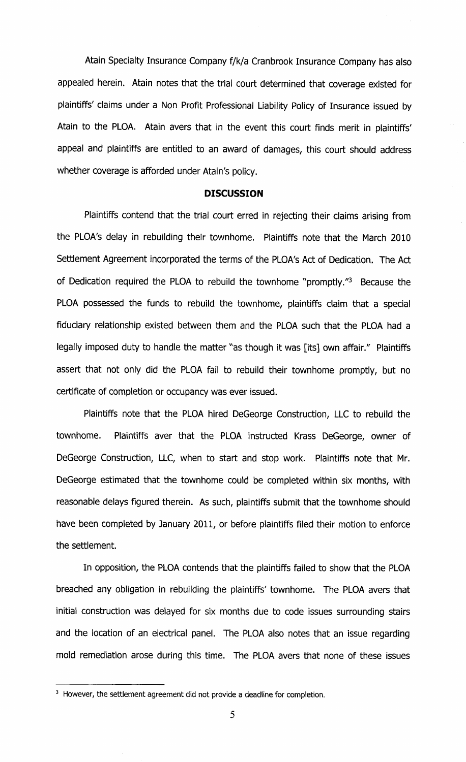Atain Specialty Insurance Company f/k/a Cranbrook Insurance Company has also appealed herein. Atain notes that the trial court determined that coverage existed for plaintiffs' claims under a Non Profit Professional Liability Policy of Insurance issued by Atain to the PLOA. Atain avers that in the event this court finds merit in plaintiffs' appeal and plaintiffs are entitled to an award of damages, this court should address whether coverage is afforded under Atain's policy.

#### DISCUSSION

Plaintiffs contend that the trial court erred in rejecting their claims arising from the PLOA's delay in rebuilding their townhome. Plaintiffs note that the March 2010 Settlement Agreement incorporated the terms of the PLOA's Act of Dedication. The Act of Dedication required the PLOA to rebuild the townhome "promptly."<sup>3</sup> Because the PLOA possessed the funds to rebuild the townhome, plaintiffs claim that a special fiduciary relationship existed between them and the PLOA such that the PLOA had a legally imposed duty to handle the matter "as though it was [ its] own affair." Plaintiffs assert that not only did the PLOA fail to rebuild their townhome promptly, but no certificate of completion or occupancy was ever issued.

Plaintiffs note that the PLOA hired DeGeorge Construction, LLC to rebuild the townhome. Plaintiffs aver that the PLOA instructed Krass DeGeorge, owner of DeGeorge Construction, LLC, when to start and stop work. Plaintiffs note that Mr. DeGeorge estimated that the townhome could be completed within six months, with reasonable delays figured therein. As such, plaintiffs submit that the townhome should have been completed by January 2011, or before plaintiffs filed their motion to enforce the settlement.

In opposition, the PLOA contends that the plaintiffs failed to show that the PLOA breached any obligation in rebuilding the plaintiffs' townhome. The PLOA avers that initial construction was delayed for six months due to code issues surrounding stairs and the location of an electrical panel. The PLOA also notes that an issue regarding mold remediation arose during this time. The PLOA avers that none of these issues

<sup>&</sup>lt;sup>3</sup> However, the settlement agreement did not provide a deadline for completion.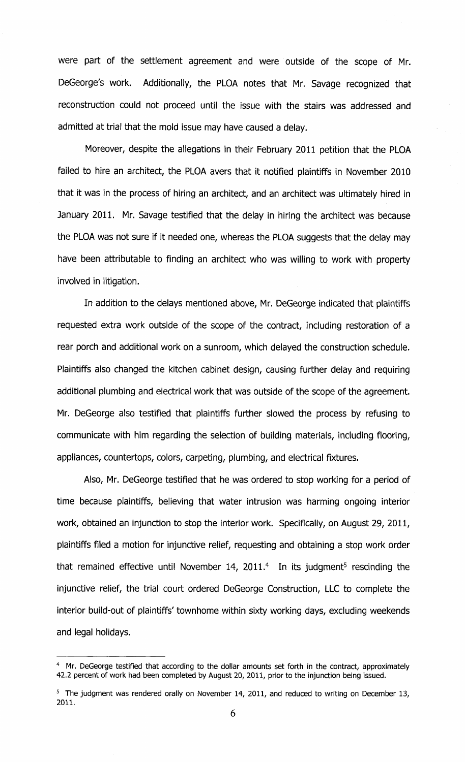were part of the settlement agreement and were outside of the scope of Mr. DeGeorge's work. Additionally, the PLOA notes that Mr. Savage recognized that reconstruction could not proceed until the issue with the stairs was addressed and admitted at trial that the mold issue may have caused a delay.

Moreover, despite the allegations in their February 2011 petition that the PLOA failed to hire an architect, the PLOA avers that it notified plaintiffs in November 2010 that it was in the process of hiring an architect, and an architect was ultimately hired in January 2011. Mr. Savage testified that the delay in hiring the architect was because the PLOA was not sure if it needed one, whereas the PLOA suggests that the delay may have been attributable to finding an architect who was willing to work with property involved in litigation.

In addition to the delays mentioned above, Mr. DeGeorge indicated that plaintiffs requested extra work outside of the scope of the contract, including restoration of a rear porch and additional work on a sunroom, which delayed the construction schedule. Plaintiffs also changed the kitchen cabinet design, causing further delay and requiring additional plumbing and electrical work that was outside of the scope of the agreement. Mr. DeGeorge also testified that plaintiffs further slowed the process by refusing to communicate with him regarding the selection of building materials, including flooring, appliances, countertops, colors, carpeting, plumbing, and electrical fixtures.

Also, Mr. DeGeorge testified that he was ordered to stop working for a period of time because plaintiffs, believing that water intrusion was harming ongoing interior work, obtained an injunction to stop the interior work. Specifically, on August 29, 2011, plaintiffs filed a motion for injunctive relief, requesting and obtaining a stop work order that remained effective until November 14, 2011.<sup>4</sup> In its judgment<sup>5</sup> rescinding the injunctive relief, the trial court ordered DeGeorge Construction, LLC to complete the interior build-out of plaintiffs' townhome within sixty working days, excluding weekends and legal holidays.

<sup>&</sup>lt;sup>4</sup> Mr. DeGeorge testified that according to the dollar amounts set forth in the contract, approximately 42.2 percent of work had been completed by August 20, 2011, prior to the injunction being issued.

<sup>&</sup>lt;sup>5</sup> The judgment was rendered orally on November 14, 2011, and reduced to writing on December 13, 2011.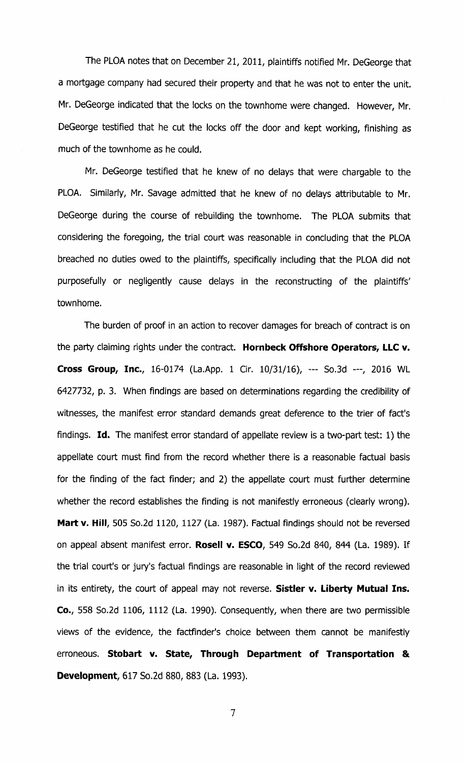The PLOA notes that on December 21, 2011, plaintiffs notified Mr. DeGeorge that a mortgage company had secured their property and that he was not to enter the unit. Mr. DeGeorge indicated that the locks on the townhome were changed. However, Mr. DeGeorge testified that he cut the locks off the door and kept working, finishing as much of the townhome as he could.

Mr. DeGeorge testified that he knew of no delays that were chargable to the PLOA. Similarly, Mr. Savage admitted that he knew of no delays attributable to Mr. DeGeorge during the course of rebuilding the townhome. The PLOA submits that considering the foregoing, the trial court was reasonable in concluding that the PLOA breached no duties owed to the plaintiffs, specifically including that the PLOA did not purposefully or negligently cause delays in the reconstructing of the plaintiffs' townhome.

The burden of proof in an action to recover damages for breach of contract is on the party claiming rights under the contract. Hornbeck Offshore Operators, LLC v. Cross Group, Inc., 16-0174 (La.App. 1 Cir. 10/31/16), --- So.3d ---, 2016 WL 6427732, p. 3. When findings are based on determinations regarding the credibility of witnesses, the manifest error standard demands great deference to the trier of fact's findings. Id. The manifest error standard of appellate review is a two-part test: 1) the appellate court must find from the record whether there is a reasonable factual basis for the finding of the fact finder; and 2) the appellate court must further determine whether the record establishes the finding is not manifestly erroneous (clearly wrong). Mart v. Hill, 505 So.2d 1120, 1127 (La. 1987). Factual findings should not be reversed on appeal absent manifest error. Rosell v. ESCO, 549 So.2d 840, 844 (La. 1989). If the trial court's or jury's factual findings are reasonable in light of the record reviewed in its entirety, the court of appeal may not reverse. Sistler v. Liberty Mutual Ins. Co., 558 So.2d 1106, 1112 ( La. 1990). Consequently, when there are two permissible views of the evidence, the factfinder's choice between them cannot be manifestly erroneous. Stobart v. State, Through Department of Transportation & Development, 617 So.2d 880, 883 (La. 1993).

7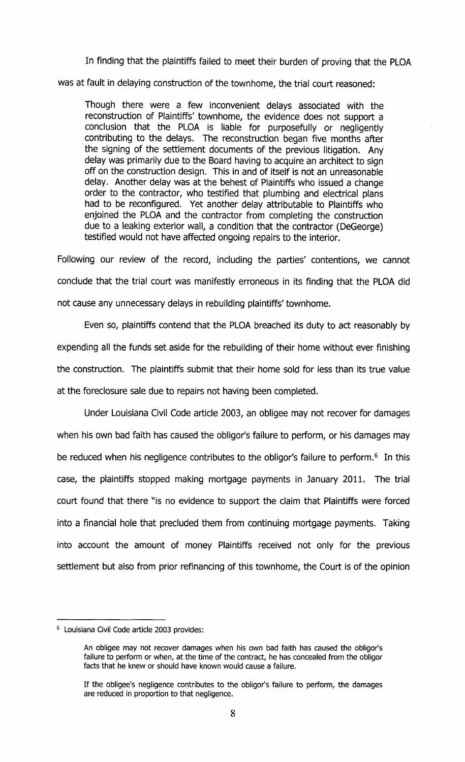In finding that the plaintiffs failed to meet their burden of proving that the PLOA was at fault in delaying construction of the townhome, the trial court reasoned:

Though there were a few inconvenient delays associated with the reconstruction of Plaintiffs' townhome, the evidence does not support a conclusion that the PLOA is liable for purposefully or negligently contributing to the delays. The reconstruction began five months after the signing of the settlement documents of the previous litigation. Any delay was primarily due to the Board having to acquire an architect to sign off on the construction design. This in and of itself is not an unreasonable delay. Another delay was at the behest of Plaintiffs who issued a change order to the contractor, who testified that plumbing and electrical plans had to be reconfigured. Yet another delay attributable to Plaintiffs who enjoined the PLOA and the contractor from completing the construction due to a leaking exterior wall, a condition that the contractor (DeGeorge) testified would not have affected ongoing repairs to the interior.

Following our review of the record, including the parties' contentions, we cannot conclude that the trial court was manifestly erroneous in its finding that the PLOA did not cause any unnecessary delays in rebuilding plaintiffs' townhome.

Even so, plaintiffs contend that the PLOA breached its duty to act reasonably by expending all the funds set aside for the rebuilding of their home without ever finishing the construction. The plaintiffs submit that their home sold for less than its true value at the foreclosure sale due to repairs not having been completed.

Under Louisiana Civil Code article 2003, an obligee may not recover for damages when his own bad faith has caused the obligor's failure to perform, or his damages may be reduced when his negligence contributes to the obligor's failure to perform.<sup>6</sup> In this case, the plaintiffs stopped making mortgage payments in January 2011. The trial court found that there "is no evidence to support the claim that Plaintiffs were forced into a financial hole that precluded them from continuing mortgage payments. Taking into account the amount of money Plaintiffs received not only for the previous settlement but also from prior refinancing of this townhome, the Court is of the opinion

<sup>6</sup> Louisiana Civil Code article 2003 provides:

An obligee may not recover damages when his own bad faith has caused the obligor's failure to perform or when, at the time of the contract, he has concealed from the obligor facts that he knew or should have known would cause a failure.

If the obligee's negligence contributes to the obligor's failure to perform, the damages are reduced in proportion to that negligence.